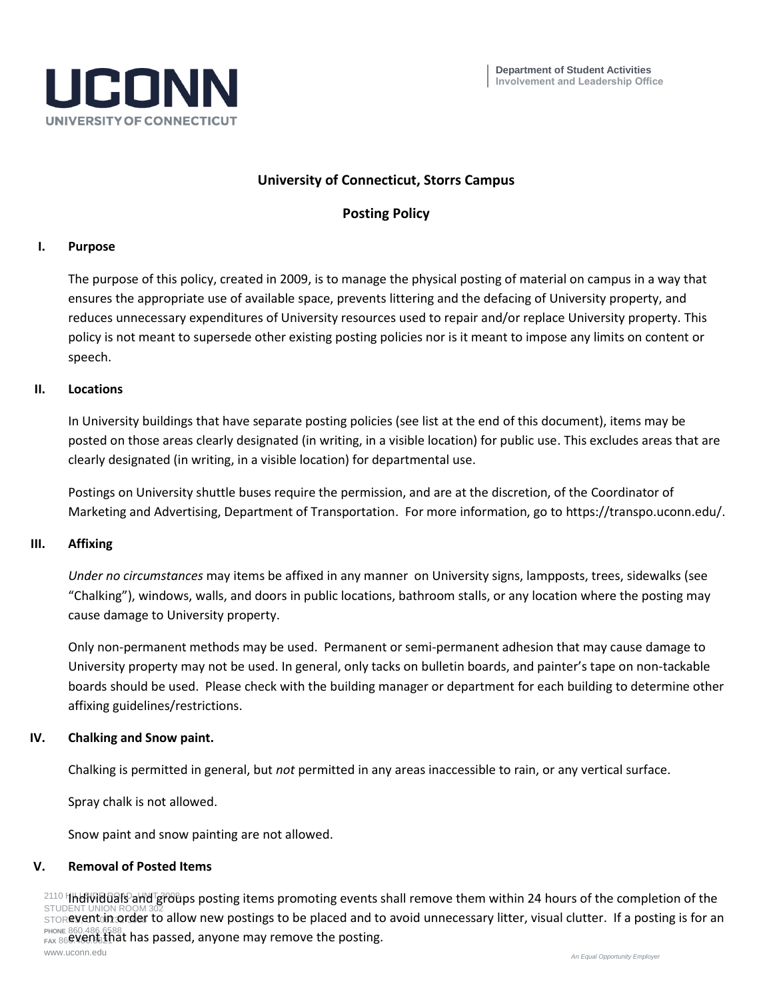

# **University of Connecticut, Storrs Campus**

# **Posting Policy**

#### **I. Purpose**

The purpose of this policy, created in 2009, is to manage the physical posting of material on campus in a way that ensures the appropriate use of available space, prevents littering and the defacing of University property, and reduces unnecessary expenditures of University resources used to repair and/or replace University property. This policy is not meant to supersede other existing posting policies nor is it meant to impose any limits on content or speech.

## **II. Locations**

In University buildings that have separate posting policies (see list at the end of this document), items may be posted on those areas clearly designated (in writing, in a visible location) for public use. This excludes areas that are clearly designated (in writing, in a visible location) for departmental use.

Postings on University shuttle buses require the permission, and are at the discretion, of the Coordinator of Marketing and Advertising, Department of Transportation. For more information, go to https://transpo.uconn.edu/.

#### **III. Affixing**

*Under no circumstances* may items be affixed in any manner on University signs, lampposts, trees, sidewalks (see "Chalking"), windows, walls, and doors in public locations, bathroom stalls, or any location where the posting may cause damage to University property.

Only non-permanent methods may be used.Permanent or semi-permanent adhesion that may cause damage to University property may not be used. In general, only tacks on bulletin boards, and painter's tape on non-tackable boards should be used. Please check with the building manager or department for each building to determine other affixing guidelines/restrictions.

## **IV. Chalking and Snow paint.**

Chalking is permitted in general, but *not* permitted in any areas inaccessible to rain, or any vertical surface.

Spray chalk is not allowed.

Snow paint and snow painting are not allowed.

## **V. Removal of Posted Items**

<sup>2110</sup> HHUMBuals and groups posting items promoting events shall remove them within 24 hours of the completion of the STUDENT UNION ROOM 302 STOR**event in order to allow new postings to be placed and to avoid unnecessary litter, visual clutter. If a posting is for an PHONE** 860.486.6588 FAX 86**6.46.15.11 hat has passed, anyone may remove the posting.** www.uconn.edu *An Equal Opportunity Employer*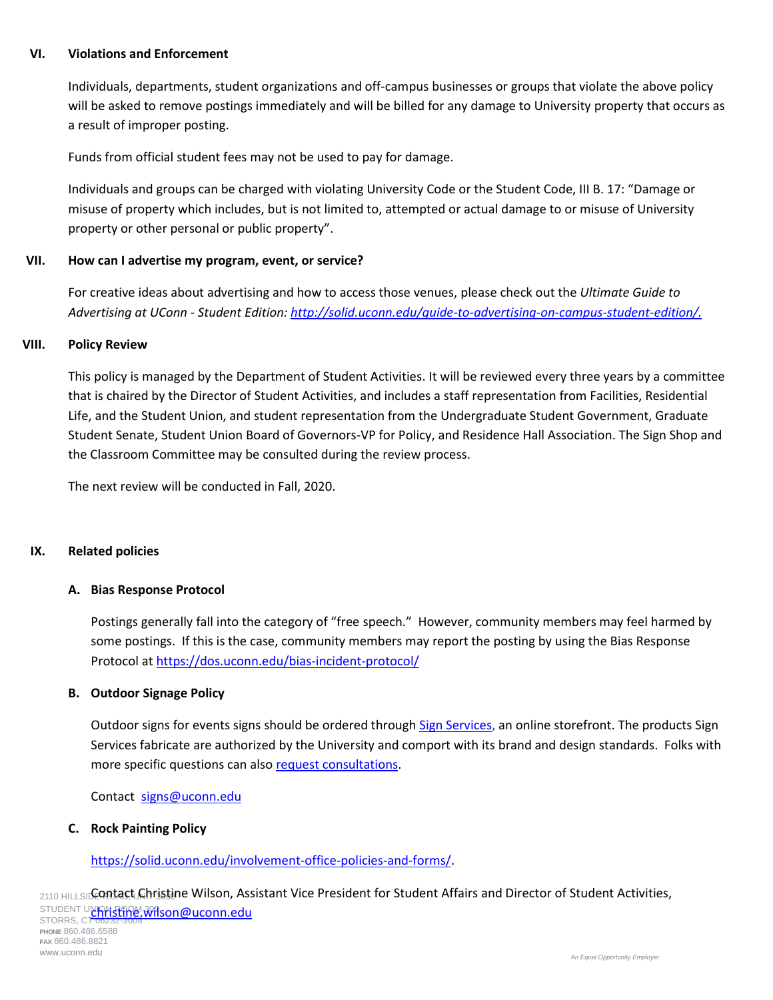## **VI. Violations and Enforcement**

Individuals, departments, student organizations and off-campus businesses or groups that violate the above policy will be asked to remove postings immediately and will be billed for any damage to University property that occurs as a result of improper posting.

Funds from official student fees may not be used to pay for damage.

Individuals and groups can be charged with violating University Code or the Student Code, III B. 17: "Damage or misuse of property which includes, but is not limited to, attempted or actual damage to or misuse of University property or other personal or public property".

## **VII. How can I advertise my program, event, or service?**

For creative ideas about advertising and how to access those venues, please check out the *Ultimate Guide to Advertising at UConn - Student Edition: [http://solid.uconn.edu/guide-to-advertising-on-campus-student-edition/.](http://solid.uconn.edu/guide-to-advertising-on-campus-student-edition/)*

#### **VIII. Policy Review**

This policy is managed by the Department of Student Activities. It will be reviewed every three years by a committee that is chaired by the Director of Student Activities, and includes a staff representation from Facilities, Residential Life, and the Student Union, and student representation from the Undergraduate Student Government, Graduate Student Senate, Student Union Board of Governors-VP for Policy, and Residence Hall Association. The Sign Shop and the Classroom Committee may be consulted during the review process.

The next review will be conducted in Fall, 2020.

## **IX. Related policies**

#### **A. Bias Response Protocol**

Postings generally fall into the category of "free speech." However, community members may feel harmed by some postings. If this is the case, community members may report the posting by using the Bias Response Protocol a[t https://dos.uconn.edu/bias-incident-protocol/](https://dos.uconn.edu/bias-incident-protocol/)

#### **B. Outdoor Signage Policy**

Outdoor signs for events signs should be ordered through [Sign Services,](https://signs.uconn.edu/store-front/order-process/) an online storefront. The products Sign Services fabricate are authorized by the University and comport with its brand and design standards. Folks with more specific questions can also [request consultations.](https://signs.uconn.edu/services/consultation/)

Contact [signs@uconn.edu](mailto:signs@uconn.edu)

#### **C. Rock Painting Policy**

## [https://solid.uconn.edu/involvement-office-policies-and-forms/.](https://solid.uconn.edu/involvement-office-policies-and-forms/)

2110 HILLSID**CONTACT Christine Wilson, Assistant Vice President for Student Affairs and Director of Student Activities,** STUDENT UNION APPOIN 302 STUDENT U<mark>YRMStINY.Wilson@uconn.edu</mark><br>STORRS, CT 06232-3008 **PHONE** 860.486.6588 **FAX** 860.486.8821 www.uconn.edu *An Equal Opportunity Employer*